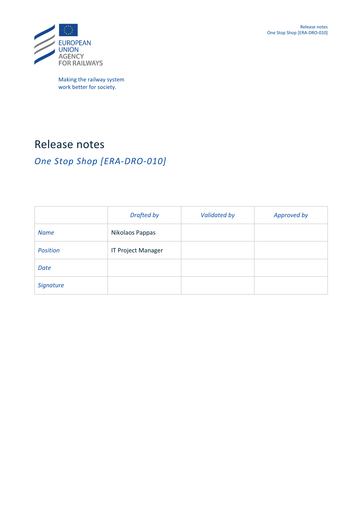

Making the railway system work better for society.

# Release notes

# *One Stop Shop [ERA-DRO-010]*

|                 | <b>Drafted by</b>         | <b>Validated by</b> | Approved by |
|-----------------|---------------------------|---------------------|-------------|
| <b>Name</b>     | Nikolaos Pappas           |                     |             |
| <b>Position</b> | <b>IT Project Manager</b> |                     |             |
| Date            |                           |                     |             |
| Signature       |                           |                     |             |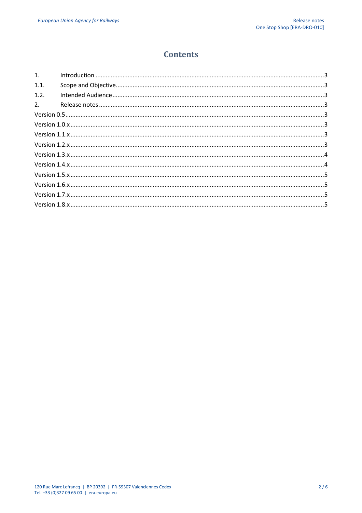# **Contents**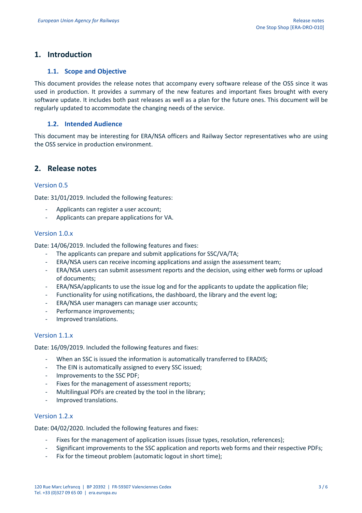# **1. Introduction**

#### **1.1. Scope and Objective**

This document provides the release notes that accompany every software release of the OSS since it was used in production. It provides a summary of the new features and important fixes brought with every software update. It includes both past releases as well as a plan for the future ones. This document will be regularly updated to accommodate the changing needs of the service.

#### **1.2. Intended Audience**

This document may be interesting for ERA/NSA officers and Railway Sector representatives who are using the OSS service in production environment.

# **2. Release notes**

#### Version 0.5

Date: 31/01/2019. Included the following features:

- Applicants can register a user account;
- Applicants can prepare applications for VA.

# Version 1.0.x

Date: 14/06/2019. Included the following features and fixes:

- The applicants can prepare and submit applications for SSC/VA/TA;
- ERA/NSA users can receive incoming applications and assign the assessment team;
- ERA/NSA users can submit assessment reports and the decision, using either web forms or upload of documents;
- ERA/NSA/applicants to use the issue log and for the applicants to update the application file;
- Functionality for using notifications, the dashboard, the library and the event log;
- ERA/NSA user managers can manage user accounts;
- Performance improvements:
- Improved translations.

#### Version 1.1.x

Date: 16/09/2019. Included the following features and fixes:

- When an SSC is issued the information is automatically transferred to ERADIS;
- The EIN is automatically assigned to every SSC issued;
- Improvements to the SSC PDF;
- Fixes for the management of assessment reports;
- Multilingual PDFs are created by the tool in the library;
- Improved translations.

#### Version 1.2.x

Date: 04/02/2020. Included the following features and fixes:

- Fixes for the management of application issues (issue types, resolution, references);
- Significant improvements to the SSC application and reports web forms and their respective PDFs;
- Fix for the timeout problem (automatic logout in short time);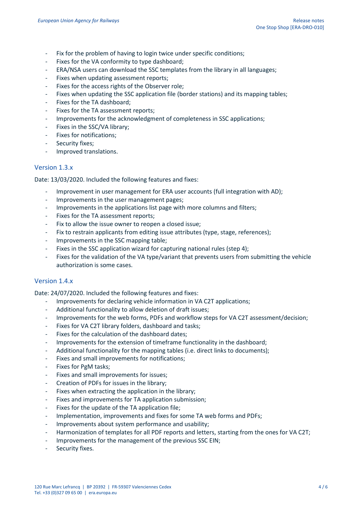- Fix for the problem of having to login twice under specific conditions;
- Fixes for the VA conformity to type dashboard;
- ERA/NSA users can download the SSC templates from the library in all languages;
- Fixes when updating assessment reports;
- Fixes for the access rights of the Observer role;
- Fixes when updating the SSC application file (border stations) and its mapping tables;
- Fixes for the TA dashboard;
- Fixes for the TA assessment reports;
- Improvements for the acknowledgment of completeness in SSC applications;
- Fixes in the SSC/VA library;
- Fixes for notifications;
- Security fixes;
- Improved translations.

# Version 1.3.x

Date: 13/03/2020. Included the following features and fixes:

- Improvement in user management for ERA user accounts (full integration with AD);
- Improvements in the user management pages;
- Improvements in the applications list page with more columns and filters;
- Fixes for the TA assessment reports;
- Fix to allow the issue owner to reopen a closed issue:
- Fix to restrain applicants from editing issue attributes (type, stage, references);
- Improvements in the SSC mapping table;
- Fixes in the SSC application wizard for capturing national rules (step 4);
- Fixes for the validation of the VA type/variant that prevents users from submitting the vehicle authorization is some cases.

# Version 1.4.x

Date: 24/07/2020. Included the following features and fixes:

- Improvements for declaring vehicle information in VA C2T applications;
- Additional functionality to allow deletion of draft issues;
- Improvements for the web forms, PDFs and workflow steps for VA C2T assessment/decision;
- Fixes for VA C2T library folders, dashboard and tasks;
- Fixes for the calculation of the dashboard dates;
- Improvements for the extension of timeframe functionality in the dashboard;
- Additional functionality for the mapping tables (i.e. direct links to documents);
- Fixes and small improvements for notifications;
- Fixes for PgM tasks;
- Fixes and small improvements for issues;
- Creation of PDFs for issues in the library;
- Fixes when extracting the application in the library;
- Fixes and improvements for TA application submission;
- Fixes for the update of the TA application file;
- Implementation, improvements and fixes for some TA web forms and PDFs;
- Improvements about system performance and usability;
- Harmonization of templates for all PDF reports and letters, starting from the ones for VA C2T;
- Improvements for the management of the previous SSC EIN;
- Security fixes.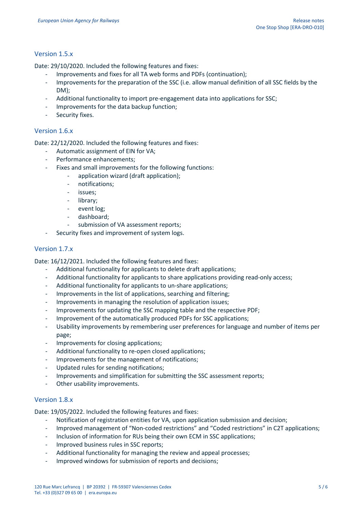#### Version 1.5.x

Date: 29/10/2020. Included the following features and fixes:

- Improvements and fixes for all TA web forms and PDFs (continuation);
- Improvements for the preparation of the SSC (i.e. allow manual definition of all SSC fields by the DM);
- Additional functionality to import pre-engagement data into applications for SSC;
- Improvements for the data backup function;
- Security fixes.

#### Version 1.6.x

Date: 22/12/2020. Included the following features and fixes:

- Automatic assignment of EIN for VA;
- Performance enhancements;
- Fixes and small improvements for the following functions:
	- application wizard (draft application);
	- notifications;
	- issues;
	- library:
	- event log:
	- dashboard;
	- submission of VA assessment reports;
- Security fixes and improvement of system logs.

#### Version 1.7.x

Date: 16/12/2021. Included the following features and fixes:

- Additional functionality for applicants to delete draft applications;
- Additional functionality for applicants to share applications providing read-only access;
- Additional functionality for applicants to un-share applications;
- Improvements in the list of applications, searching and filtering;
- Improvements in managing the resolution of application issues;
- Improvements for updating the SSC mapping table and the respective PDF;
- Improvement of the automatically produced PDFs for SSC applications;
- Usability improvements by remembering user preferences for language and number of items per page;
- Improvements for closing applications;
- Additional functionality to re-open closed applications;
- Improvements for the management of notifications:
- Updated rules for sending notifications;
- Improvements and simplification for submitting the SSC assessment reports;
- Other usability improvements.

#### Version 1.8.x

Date: 19/05/2022. Included the following features and fixes:

- Notification of registration entities for VA, upon application submission and decision;
- Improved management of "Non-coded restrictions" and "Coded restrictions" in C2T applications;
- Inclusion of information for RUs being their own ECM in SSC applications;
- Improved business rules in SSC reports:
- Additional functionality for managing the review and appeal processes;
- Improved windows for submission of reports and decisions;